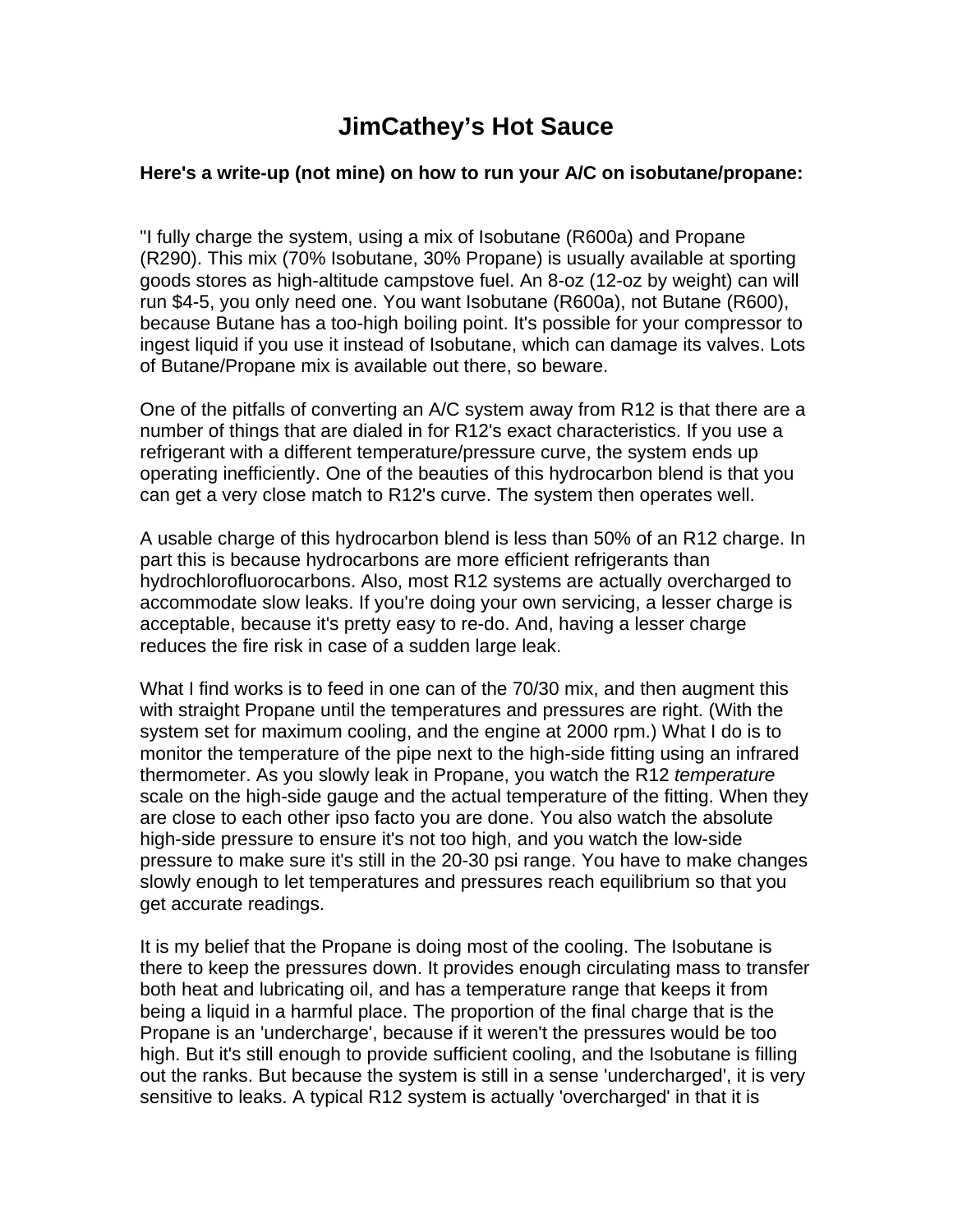## **JimCathey's Hot Sauce**

## **Here's a write-up (not mine) on how to run your A/C on isobutane/propane:**

"I fully charge the system, using a mix of Isobutane (R600a) and Propane (R290). This mix (70% Isobutane, 30% Propane) is usually available at sporting goods stores as high-altitude campstove fuel. An 8-oz (12-oz by weight) can will run \$4-5, you only need one. You want Isobutane (R600a), not Butane (R600), because Butane has a too-high boiling point. It's possible for your compressor to ingest liquid if you use it instead of Isobutane, which can damage its valves. Lots of Butane/Propane mix is available out there, so beware.

One of the pitfalls of converting an A/C system away from R12 is that there are a number of things that are dialed in for R12's exact characteristics. If you use a refrigerant with a different temperature/pressure curve, the system ends up operating inefficiently. One of the beauties of this hydrocarbon blend is that you can get a very close match to R12's curve. The system then operates well.

A usable charge of this hydrocarbon blend is less than 50% of an R12 charge. In part this is because hydrocarbons are more efficient refrigerants than hydrochlorofluorocarbons. Also, most R12 systems are actually overcharged to accommodate slow leaks. If you're doing your own servicing, a lesser charge is acceptable, because it's pretty easy to re-do. And, having a lesser charge reduces the fire risk in case of a sudden large leak.

What I find works is to feed in one can of the 70/30 mix, and then augment this with straight Propane until the temperatures and pressures are right. (With the system set for maximum cooling, and the engine at 2000 rpm.) What I do is to monitor the temperature of the pipe next to the high-side fitting using an infrared thermometer. As you slowly leak in Propane, you watch the R12 *temperature* scale on the high-side gauge and the actual temperature of the fitting. When they are close to each other ipso facto you are done. You also watch the absolute high-side pressure to ensure it's not too high, and you watch the low-side pressure to make sure it's still in the 20-30 psi range. You have to make changes slowly enough to let temperatures and pressures reach equilibrium so that you get accurate readings.

It is my belief that the Propane is doing most of the cooling. The Isobutane is there to keep the pressures down. It provides enough circulating mass to transfer both heat and lubricating oil, and has a temperature range that keeps it from being a liquid in a harmful place. The proportion of the final charge that is the Propane is an 'undercharge', because if it weren't the pressures would be too high. But it's still enough to provide sufficient cooling, and the Isobutane is filling out the ranks. But because the system is still in a sense 'undercharged', it is very sensitive to leaks. A typical R12 system is actually 'overcharged' in that it is